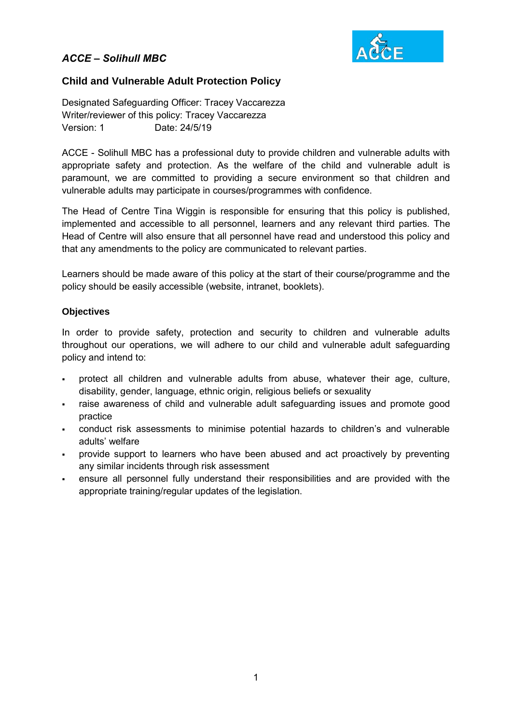# *ACCE – Solihull MBC*



### **Child and Vulnerable Adult Protection Policy**

Designated Safeguarding Officer: Tracey Vaccarezza Writer/reviewer of this policy: Tracey Vaccarezza Version: 1 Date: 24/5/19

ACCE - Solihull MBC has a professional duty to provide children and vulnerable adults with appropriate safety and protection. As the welfare of the child and vulnerable adult is paramount, we are committed to providing a secure environment so that children and vulnerable adults may participate in courses/programmes with confidence.

The Head of Centre Tina Wiggin is responsible for ensuring that this policy is published, implemented and accessible to all personnel, learners and any relevant third parties. The Head of Centre will also ensure that all personnel have read and understood this policy and that any amendments to the policy are communicated to relevant parties.

Learners should be made aware of this policy at the start of their course/programme and the policy should be easily accessible (website, intranet, booklets).

### **Objectives**

In order to provide safety, protection and security to children and vulnerable adults throughout our operations, we will adhere to our child and vulnerable adult safeguarding policy and intend to:

- protect all children and vulnerable adults from abuse, whatever their age, culture, disability, gender, language, ethnic origin, religious beliefs or sexuality
- raise awareness of child and vulnerable adult safeguarding issues and promote good practice
- conduct risk assessments to minimise potential hazards to children's and vulnerable adults' welfare
- provide support to learners who have been abused and act proactively by preventing any similar incidents through risk assessment
- ensure all personnel fully understand their responsibilities and are provided with the appropriate training/regular updates of the legislation.